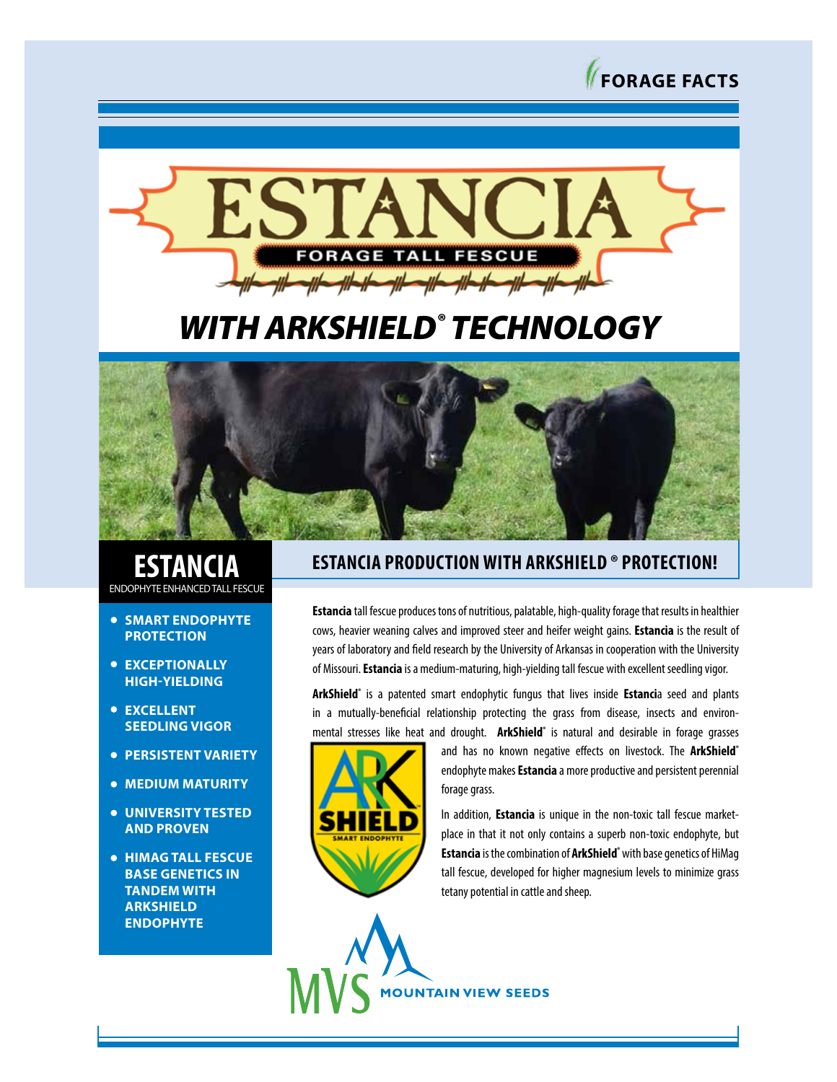



# *WITH ARKSHIELD® TECHNOLOGY*



## **ESTANCIA** ENDOPHYTE ENHANCED TALL FESCUE

- **SMART ENDOPHYTE PROTECTION**
- **EXCEPTIONALLY HIGH-YIELDING**
- **EXCELLENT SEEDLING VIGOR**
- **PERSISTENT VARIETY**
- **MEDIUM MATURITY**
- **UNIVERSITY TESTED AND PROVEN**
- **HIMAG TALL FESCUE BASE GENETICS IN TANDEM WITH ARKSHIELD ENDOPHYTE**

# **ESTANCIA PRODUCTION WITH ARKSHIELD ® PROTECTION!**

**Estancia** tall fescue produces tons of nutritious, palatable, high-quality forage that results in healthier cows, heavier weaning calves and improved steer and heifer weight gains. **Estancia** is the result of years of laboratory and field research by the University of Arkansas in cooperation with the University of Missouri. **Estancia** is a medium-maturing, high-yielding tall fescue with excellent seedling vigor.

**ArkShield®** is a patented smart endophytic fungus that lives inside **Estanci**a seed and plants in a mutually-beneficial relationship protecting the grass from disease, insects and environmental stresses like heat and drought. **ArkShield®** is natural and desirable in forage grasses



and has no known negative effects on livestock. The ArkShield® endophyte makes **Estancia** a more productive and persistent perennial forage grass.

In addition, **Estancia** is unique in the non-toxic tall fescue marketplace in that it not only contains a superb non-toxic endophyte, but **Estancia** is the combination of **ArkShield®** with base genetics of HiMag tall fescue, developed for higher magnesium levels to minimize grass tetany potential in cattle and sheep.

**OUNTAIN VIEW SEEDS**